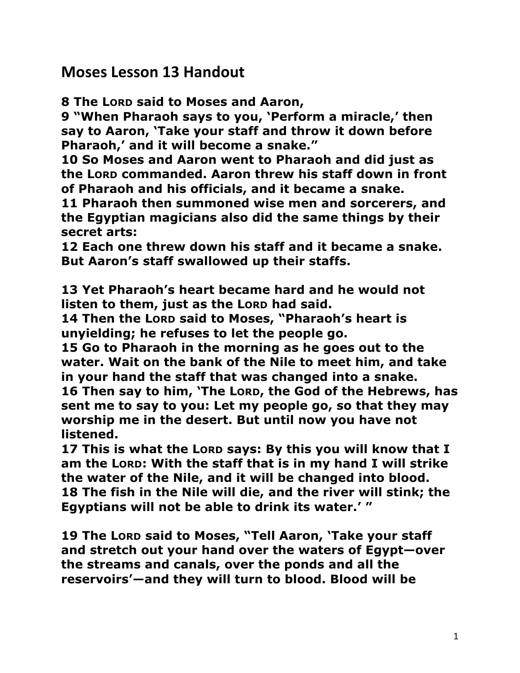**Moses Lesson 13 Handout** 

**8 The LORD said to Moses and Aaron,** 

**9 "When Pharaoh says to you, 'Perform a miracle,' then say to Aaron, 'Take your staff and throw it down before Pharaoh,' and it will become a snake."** 

**10 So Moses and Aaron went to Pharaoh and did just as the LORD commanded. Aaron threw his staff down in front of Pharaoh and his officials, and it became a snake.** 

**11 Pharaoh then summoned wise men and sorcerers, and the Egyptian magicians also did the same things by their secret arts:** 

**12 Each one threw down his staff and it became a snake. But Aaron's staff swallowed up their staffs.** 

**13 Yet Pharaoh's heart became hard and he would not listen to them, just as the LORD had said.** 

**14 Then the LORD said to Moses, "Pharaoh's heart is unyielding; he refuses to let the people go.** 

**15 Go to Pharaoh in the morning as he goes out to the water. Wait on the bank of the Nile to meet him, and take in your hand the staff that was changed into a snake. 16 Then say to him, 'The LORD, the God of the Hebrews, has sent me to say to you: Let my people go, so that they may worship me in the desert. But until now you have not listened.** 

**17 This is what the LORD says: By this you will know that I am the LORD: With the staff that is in my hand I will strike the water of the Nile, and it will be changed into blood. 18 The fish in the Nile will die, and the river will stink; the Egyptians will not be able to drink its water.' "** 

**19 The LORD said to Moses, "Tell Aaron, 'Take your staff and stretch out your hand over the waters of Egypt—over the streams and canals, over the ponds and all the reservoirs'—and they will turn to blood. Blood will be**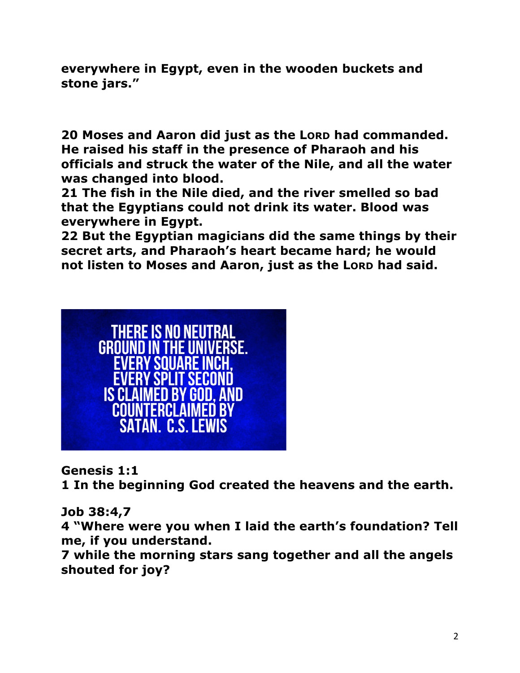**everywhere in Egypt, even in the wooden buckets and stone jars."** 

**20 Moses and Aaron did just as the LORD had commanded. He raised his staff in the presence of Pharaoh and his officials and struck the water of the Nile, and all the water was changed into blood.** 

**21 The fish in the Nile died, and the river smelled so bad that the Egyptians could not drink its water. Blood was everywhere in Egypt.** 

**22 But the Egyptian magicians did the same things by their secret arts, and Pharaoh's heart became hard; he would not listen to Moses and Aaron, just as the LORD had said.** 



**Genesis 1:1** 

**1 In the beginning God created the heavens and the earth.**

**Job 38:4,7**

**4 "Where were you when I laid the earth's foundation? Tell me, if you understand.** 

**7 while the morning stars sang together and all the angels shouted for joy?**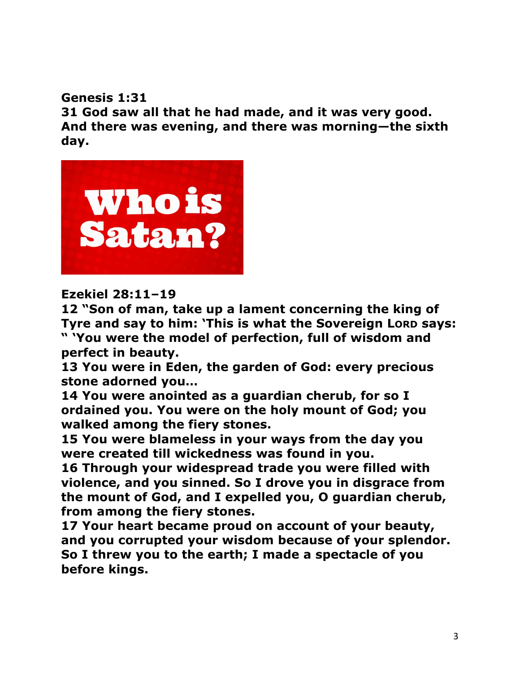**Genesis 1:31** 

**31 God saw all that he had made, and it was very good. And there was evening, and there was morning—the sixth day.**



### **Ezekiel 28:11–19**

**12 "Son of man, take up a lament concerning the king of Tyre and say to him: 'This is what the Sovereign LORD says:** 

**" 'You were the model of perfection, full of wisdom and perfect in beauty.** 

**13 You were in Eden, the garden of God: every precious stone adorned you…**

**14 You were anointed as a guardian cherub, for so I ordained you. You were on the holy mount of God; you walked among the fiery stones.** 

**15 You were blameless in your ways from the day you were created till wickedness was found in you.** 

**16 Through your widespread trade you were filled with violence, and you sinned. So I drove you in disgrace from the mount of God, and I expelled you, O guardian cherub, from among the fiery stones.** 

**17 Your heart became proud on account of your beauty, and you corrupted your wisdom because of your splendor. So I threw you to the earth; I made a spectacle of you before kings.**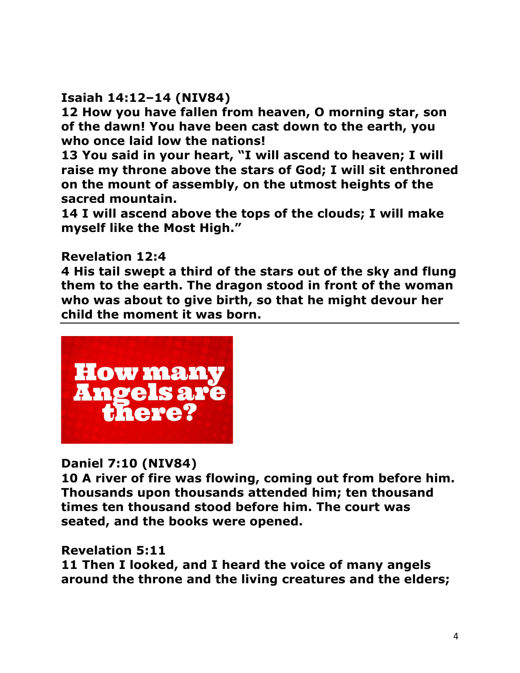## **Isaiah 14:12–14 (NIV84)**

**12 How you have fallen from heaven, O morning star, son of the dawn! You have been cast down to the earth, you who once laid low the nations!** 

**13 You said in your heart, "I will ascend to heaven; I will raise my throne above the stars of God; I will sit enthroned on the mount of assembly, on the utmost heights of the sacred mountain.** 

**14 I will ascend above the tops of the clouds; I will make myself like the Most High."** 

### **Revelation 12:4**

**4 His tail swept a third of the stars out of the sky and flung them to the earth. The dragon stood in front of the woman who was about to give birth, so that he might devour her child the moment it was born.** 



## **Daniel 7:10 (NIV84)**

**10 A river of fire was flowing, coming out from before him. Thousands upon thousands attended him; ten thousand times ten thousand stood before him. The court was seated, and the books were opened.**

#### **Revelation 5:11**

**11 Then I looked, and I heard the voice of many angels around the throne and the living creatures and the elders;**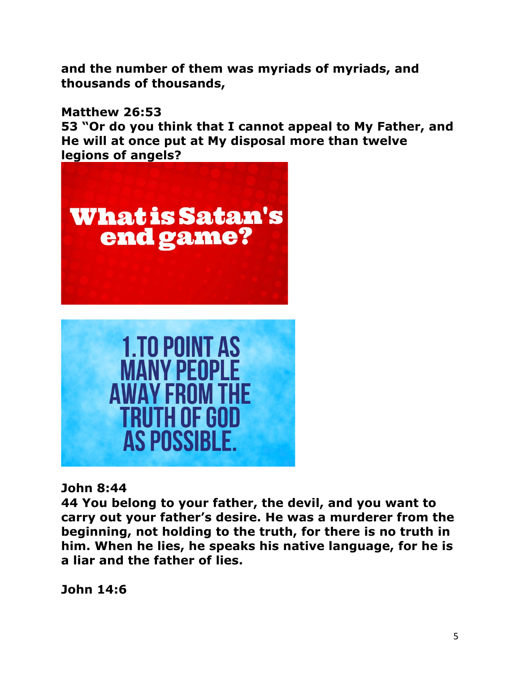**and the number of them was myriads of myriads, and thousands of thousands,** 

**Matthew 26:53** 

**53 "Or do you think that I cannot appeal to My Father, and He will at once put at My disposal more than twelve legions of angels?**





**John 8:44** 

**44 You belong to your father, the devil, and you want to carry out your father's desire. He was a murderer from the beginning, not holding to the truth, for there is no truth in him. When he lies, he speaks his native language, for he is a liar and the father of lies.** 

**John 14:6**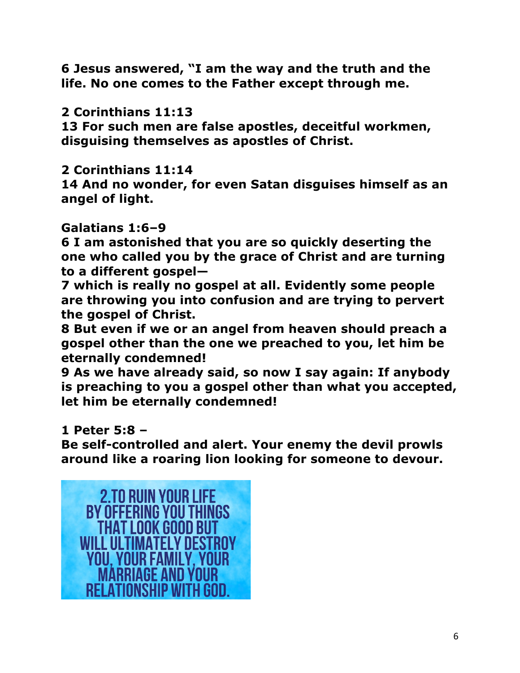**6 Jesus answered, "I am the way and the truth and the life. No one comes to the Father except through me.** 

## **2 Corinthians 11:13**

**13 For such men are false apostles, deceitful workmen, disguising themselves as apostles of Christ.** 

## **2 Corinthians 11:14**

**14 And no wonder, for even Satan disguises himself as an angel of light.**

# **Galatians 1:6–9**

**6 I am astonished that you are so quickly deserting the one who called you by the grace of Christ and are turning to a different gospel—**

**7 which is really no gospel at all. Evidently some people are throwing you into confusion and are trying to pervert the gospel of Christ.** 

**8 But even if we or an angel from heaven should preach a gospel other than the one we preached to you, let him be eternally condemned!** 

**9 As we have already said, so now I say again: If anybody is preaching to you a gospel other than what you accepted, let him be eternally condemned!** 

# **1 Peter 5:8 –**

**Be self-controlled and alert. Your enemy the devil prowls around like a roaring lion looking for someone to devour.**

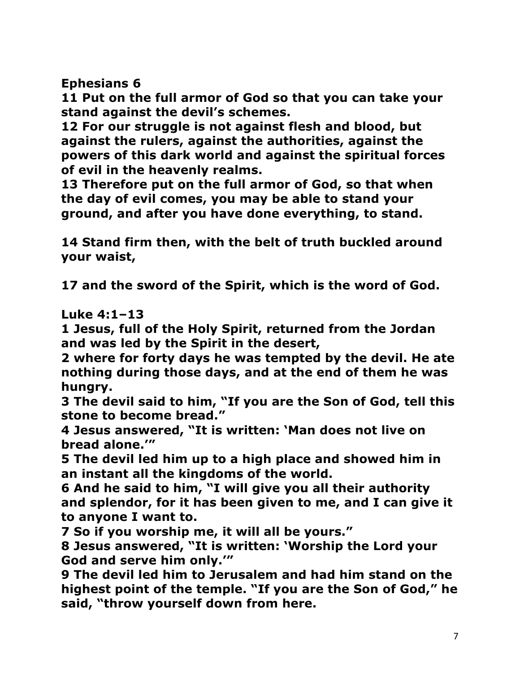**Ephesians 6**

**11 Put on the full armor of God so that you can take your stand against the devil's schemes.** 

**12 For our struggle is not against flesh and blood, but against the rulers, against the authorities, against the powers of this dark world and against the spiritual forces of evil in the heavenly realms.** 

**13 Therefore put on the full armor of God, so that when the day of evil comes, you may be able to stand your ground, and after you have done everything, to stand.** 

**14 Stand firm then, with the belt of truth buckled around your waist,**

**17 and the sword of the Spirit, which is the word of God.**

**Luke 4:1–13** 

**1 Jesus, full of the Holy Spirit, returned from the Jordan and was led by the Spirit in the desert,** 

**2 where for forty days he was tempted by the devil. He ate nothing during those days, and at the end of them he was hungry.** 

**3 The devil said to him, "If you are the Son of God, tell this stone to become bread."** 

**4 Jesus answered, "It is written: 'Man does not live on bread alone.'"** 

**5 The devil led him up to a high place and showed him in an instant all the kingdoms of the world.** 

**6 And he said to him, "I will give you all their authority and splendor, for it has been given to me, and I can give it to anyone I want to.** 

**7 So if you worship me, it will all be yours."** 

**8 Jesus answered, "It is written: 'Worship the Lord your God and serve him only.'"** 

**9 The devil led him to Jerusalem and had him stand on the highest point of the temple. "If you are the Son of God," he said, "throw yourself down from here.**